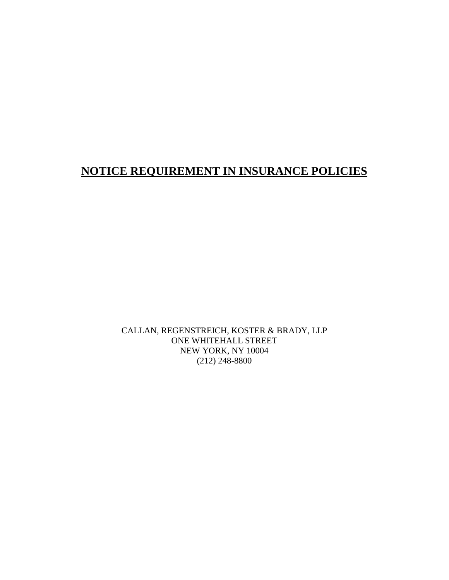## **NOTICE REQUIREMENT IN INSURANCE POLICIES**

CALLAN, REGENSTREICH, KOSTER & BRADY, LLP ONE WHITEHALL STREET NEW YORK, NY 10004 (212) 248-8800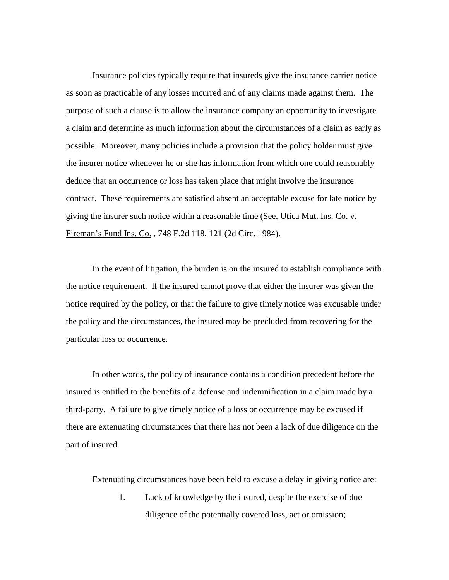Insurance policies typically require that insureds give the insurance carrier notice as soon as practicable of any losses incurred and of any claims made against them. The purpose of such a clause is to allow the insurance company an opportunity to investigate a claim and determine as much information about the circumstances of a claim as early as possible. Moreover, many policies include a provision that the policy holder must give the insurer notice whenever he or she has information from which one could reasonably deduce that an occurrence or loss has taken place that might involve the insurance contract. These requirements are satisfied absent an acceptable excuse for late notice by giving the insurer such notice within a reasonable time (See, Utica Mut. Ins. Co. v. Fireman's Fund Ins. Co., 748 F.2d 118, 121 (2d Circ. 1984).

 In the event of litigation, the burden is on the insured to establish compliance with the notice requirement. If the insured cannot prove that either the insurer was given the notice required by the policy, or that the failure to give timely notice was excusable under the policy and the circumstances, the insured may be precluded from recovering for the particular loss or occurrence.

 In other words, the policy of insurance contains a condition precedent before the insured is entitled to the benefits of a defense and indemnification in a claim made by a third-party. A failure to give timely notice of a loss or occurrence may be excused if there are extenuating circumstances that there has not been a lack of due diligence on the part of insured.

Extenuating circumstances have been held to excuse a delay in giving notice are:

 1. Lack of knowledge by the insured, despite the exercise of due diligence of the potentially covered loss, act or omission;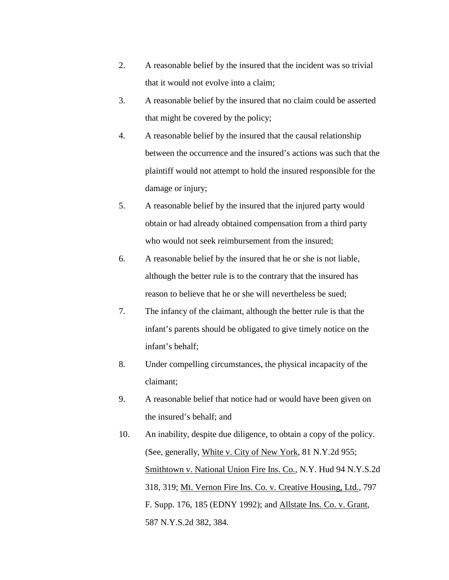- 2. A reasonable belief by the insured that the incident was so trivial that it would not evolve into a claim;
- 3. A reasonable belief by the insured that no claim could be asserted that might be covered by the policy;
- 4. A reasonable belief by the insured that the causal relationship between the occurrence and the insured's actions was such that the plaintiff would not attempt to hold the insured responsible for the damage or injury;
- 5. A reasonable belief by the insured that the injured party would obtain or had already obtained compensation from a third party who would not seek reimbursement from the insured;
- 6. A reasonable belief by the insured that he or she is not liable, although the better rule is to the contrary that the insured has reason to believe that he or she will nevertheless be sued;
- 7. The infancy of the claimant, although the better rule is that the infant's parents should be obligated to give timely notice on the infant's behalf;
- 8. Under compelling circumstances, the physical incapacity of the claimant;
- 9. A reasonable belief that notice had or would have been given on the insured's behalf; and
- 10. An inability, despite due diligence, to obtain a copy of the policy. (See, generally, White v. City of New York, 81 N.Y.2d 955; Smithtown v. National Union Fire Ins. Co., N.Y. Hud 94 N.Y.S.2d 318, 319; Mt. Vernon Fire Ins. Co. v. Creative Housing, Ltd., 797 F. Supp. 176, 185 (EDNY 1992); and Allstate Ins. Co. v. Grant, 587 N.Y.S.2d 382, 384.